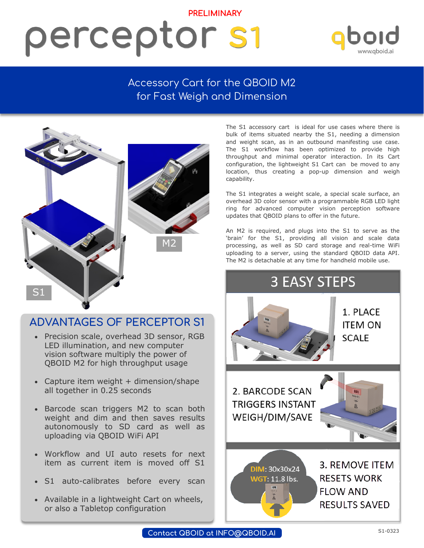### **PRELIMINARY** perceptor s1

## www.aboid.

#### Accessory Cart for the QBOID M2 for Fast Weigh and Dimension



#### **ADVANTAGES OF PERCEPTOR S1**

- Precision scale, overhead 3D sensor, RGB LED illumination, and new computer vision software multiply the power of QBOID M2 for high throughput usage
- Capture item weight  $+$  dimension/shape all together in 0.25 seconds
- Barcode scan triggers M2 to scan both weight and dim and then saves results autonomously to SD card as well as uploading via QBOID WiFi API
- Workflow and UI auto resets for next item as current item is moved off S1
- S1 auto-calibrates before every scan
- Available in a lightweight Cart on wheels, or also a Tabletop configuration

The S1 accessory cart is ideal for use cases where there is bulk of items situated nearby the S1, needing a dimension and weight scan, as in an outbound manifesting use case. The S1 workflow has been optimized to provide high throughput and minimal operator interaction. In its Cart configuration, the lightweight S1 Cart can be moved to any location, thus creating a pop-up dimension and weigh capability.

The S1 integrates a weight scale, a special scale surface, an overhead 3D color sensor with a programmable RGB LED light ring for advanced computer vision perception software updates that QBOID plans to offer in the future.

An M2 is required, and plugs into the S1 to serve as the 'brain' for the S1, providing all vision and scale data processing, as well as SD card storage and real-time WiFi uploading to a server, using the standard QBOID data API. The M2 is detachable at any time for handheld mobile use.